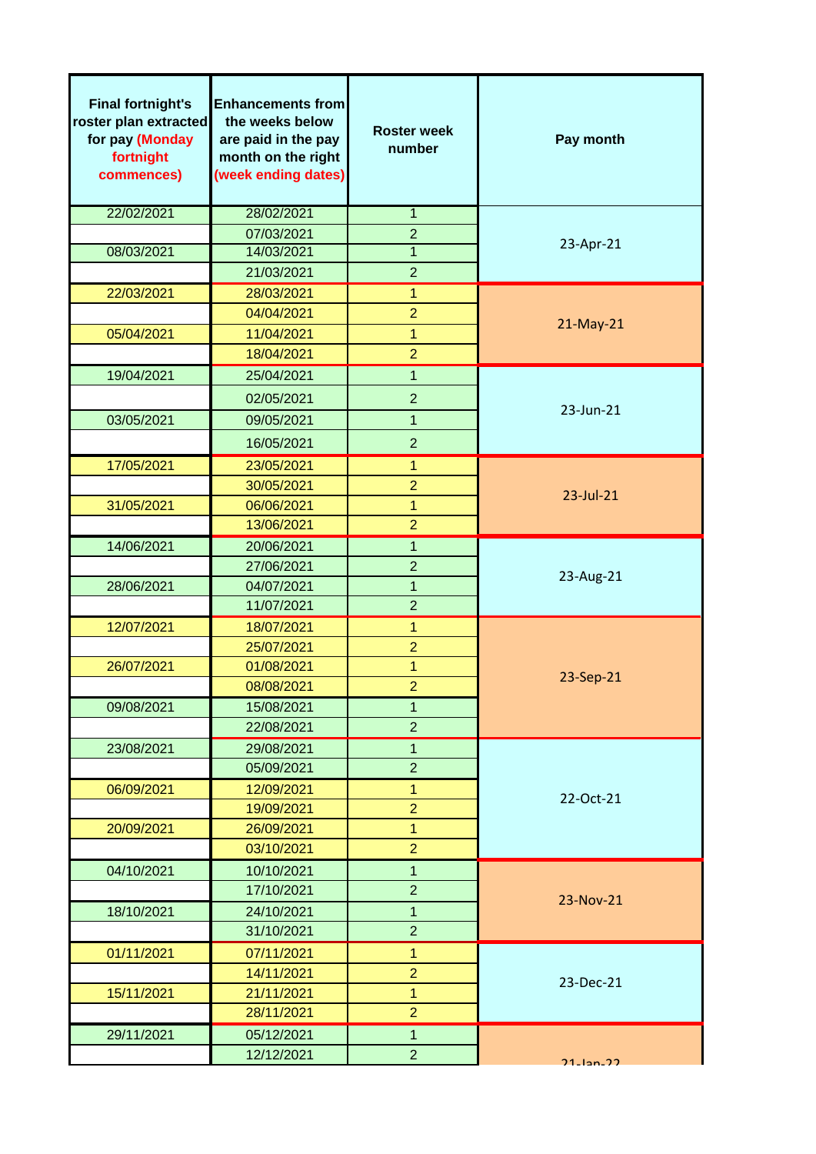| <b>Final fortnight's</b><br>roster plan extracted<br>for pay (Monday<br>fortnight<br>commences) | <b>Enhancements from</b><br>the weeks below<br>are paid in the pay<br>month on the right<br>(week ending dates) | <b>Roster week</b><br>number | Pay month       |  |  |
|-------------------------------------------------------------------------------------------------|-----------------------------------------------------------------------------------------------------------------|------------------------------|-----------------|--|--|
| 22/02/2021                                                                                      | 28/02/2021                                                                                                      | $\overline{1}$               |                 |  |  |
|                                                                                                 | 07/03/2021                                                                                                      | $\overline{2}$               |                 |  |  |
| 08/03/2021                                                                                      | 14/03/2021                                                                                                      | 1                            | 23-Apr-21       |  |  |
|                                                                                                 | 21/03/2021                                                                                                      | $\overline{2}$               |                 |  |  |
| 22/03/2021                                                                                      | 28/03/2021                                                                                                      | $\overline{1}$               |                 |  |  |
|                                                                                                 | 04/04/2021                                                                                                      | $\overline{2}$               | 21-May-21       |  |  |
| 05/04/2021                                                                                      | 11/04/2021                                                                                                      | 1                            |                 |  |  |
|                                                                                                 | 18/04/2021                                                                                                      | $\overline{2}$               |                 |  |  |
| 19/04/2021                                                                                      | 25/04/2021                                                                                                      | $\overline{1}$               |                 |  |  |
|                                                                                                 | 02/05/2021                                                                                                      | $\overline{2}$               |                 |  |  |
| 03/05/2021                                                                                      | 09/05/2021                                                                                                      | 1                            | 23-Jun-21       |  |  |
|                                                                                                 | 16/05/2021                                                                                                      | $\overline{2}$               |                 |  |  |
| 17/05/2021                                                                                      | 23/05/2021                                                                                                      | 1                            |                 |  |  |
|                                                                                                 | 30/05/2021                                                                                                      | $\overline{2}$               | 23-Jul-21       |  |  |
| 31/05/2021                                                                                      | 06/06/2021                                                                                                      | 1                            |                 |  |  |
|                                                                                                 | 13/06/2021                                                                                                      | $\overline{2}$               |                 |  |  |
| 14/06/2021                                                                                      | 20/06/2021                                                                                                      | 1                            |                 |  |  |
|                                                                                                 | 27/06/2021                                                                                                      | $\overline{2}$               |                 |  |  |
| 28/06/2021                                                                                      | 04/07/2021                                                                                                      | 1                            | 23-Aug-21       |  |  |
|                                                                                                 | 11/07/2021                                                                                                      | $\overline{2}$               |                 |  |  |
| 12/07/2021                                                                                      | 18/07/2021                                                                                                      | 1                            |                 |  |  |
|                                                                                                 | 25/07/2021                                                                                                      | $\overline{2}$               |                 |  |  |
| 26/07/2021                                                                                      | 01/08/2021                                                                                                      | 1                            | 23-Sep-21       |  |  |
|                                                                                                 | 08/08/2021                                                                                                      | $\overline{2}$               |                 |  |  |
| 09/08/2021                                                                                      | 15/08/2021                                                                                                      | 1                            |                 |  |  |
|                                                                                                 | 22/08/2021                                                                                                      | $\overline{2}$               |                 |  |  |
| 23/08/2021                                                                                      | 29/08/2021                                                                                                      | $\overline{1}$               |                 |  |  |
|                                                                                                 | 05/09/2021                                                                                                      | $\overline{2}$               |                 |  |  |
| 06/09/2021                                                                                      | 12/09/2021                                                                                                      | 1                            | 22-Oct-21       |  |  |
|                                                                                                 | 19/09/2021                                                                                                      | $\overline{2}$               |                 |  |  |
| 20/09/2021                                                                                      | 26/09/2021                                                                                                      | $\overline{1}$               |                 |  |  |
|                                                                                                 | 03/10/2021                                                                                                      | $\overline{2}$               |                 |  |  |
| 04/10/2021                                                                                      | 10/10/2021                                                                                                      | 1                            |                 |  |  |
|                                                                                                 | 17/10/2021                                                                                                      | $\overline{2}$               |                 |  |  |
| 18/10/2021                                                                                      | 24/10/2021                                                                                                      | $\overline{1}$               | 23-Nov-21       |  |  |
|                                                                                                 | 31/10/2021                                                                                                      | $\overline{2}$               |                 |  |  |
| 01/11/2021                                                                                      | 07/11/2021                                                                                                      | 1                            |                 |  |  |
|                                                                                                 | 14/11/2021                                                                                                      | $\overline{2}$               | 23-Dec-21       |  |  |
| 15/11/2021                                                                                      | 21/11/2021                                                                                                      | $\overline{1}$               |                 |  |  |
|                                                                                                 | 28/11/2021                                                                                                      | $\overline{2}$               |                 |  |  |
| 29/11/2021                                                                                      | 05/12/2021                                                                                                      | $\overline{1}$               |                 |  |  |
|                                                                                                 | 12/12/2021                                                                                                      | $\overline{2}$               | $21 - 12n - 22$ |  |  |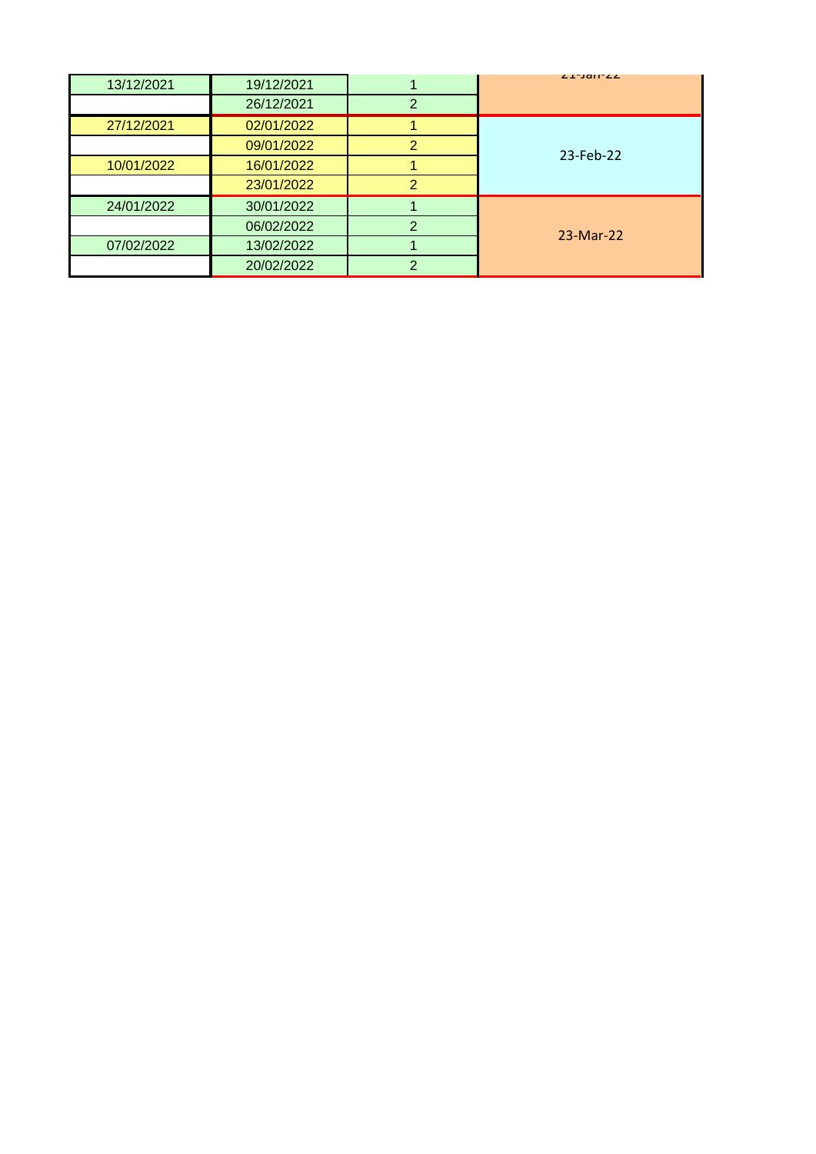| 13/12/2021 | 19/12/2021 |               | ZI-JAH-ZZ |  |  |
|------------|------------|---------------|-----------|--|--|
|            | 26/12/2021 | っ             |           |  |  |
| 27/12/2021 | 02/01/2022 |               |           |  |  |
|            | 09/01/2022 | 2             | 23-Feb-22 |  |  |
| 10/01/2022 | 16/01/2022 |               |           |  |  |
|            | 23/01/2022 | $\mathcal{P}$ |           |  |  |
| 24/01/2022 | 30/01/2022 |               |           |  |  |
|            | 06/02/2022 | ⌒             | 23-Mar-22 |  |  |
| 07/02/2022 | 13/02/2022 |               |           |  |  |
|            | 20/02/2022 | ⌒             |           |  |  |